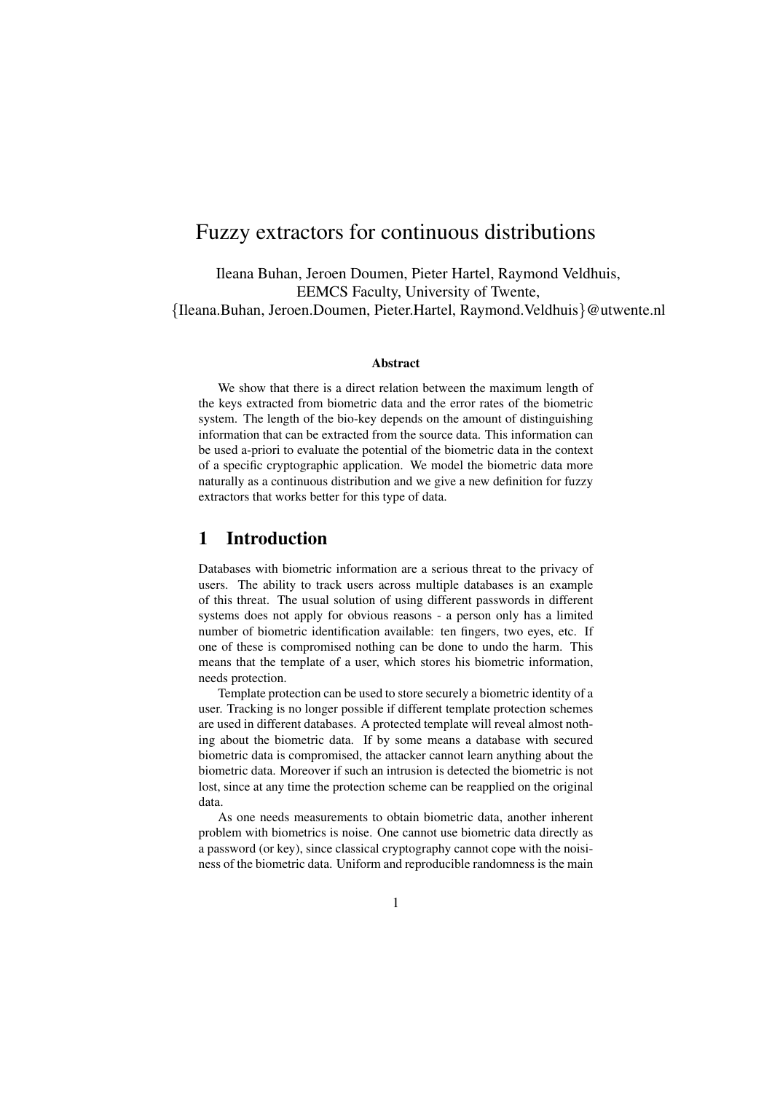# Fuzzy extractors for continuous distributions

Ileana Buhan, Jeroen Doumen, Pieter Hartel, Raymond Veldhuis, EEMCS Faculty, University of Twente, {Ileana.Buhan, Jeroen.Doumen, Pieter.Hartel, Raymond.Veldhuis}@utwente.nl

#### Abstract

We show that there is a direct relation between the maximum length of the keys extracted from biometric data and the error rates of the biometric system. The length of the bio-key depends on the amount of distinguishing information that can be extracted from the source data. This information can be used a-priori to evaluate the potential of the biometric data in the context of a specific cryptographic application. We model the biometric data more naturally as a continuous distribution and we give a new definition for fuzzy extractors that works better for this type of data.

## 1 Introduction

Databases with biometric information are a serious threat to the privacy of users. The ability to track users across multiple databases is an example of this threat. The usual solution of using different passwords in different systems does not apply for obvious reasons - a person only has a limited number of biometric identification available: ten fingers, two eyes, etc. If one of these is compromised nothing can be done to undo the harm. This means that the template of a user, which stores his biometric information, needs protection.

Template protection can be used to store securely a biometric identity of a user. Tracking is no longer possible if different template protection schemes are used in different databases. A protected template will reveal almost nothing about the biometric data. If by some means a database with secured biometric data is compromised, the attacker cannot learn anything about the biometric data. Moreover if such an intrusion is detected the biometric is not lost, since at any time the protection scheme can be reapplied on the original data.

As one needs measurements to obtain biometric data, another inherent problem with biometrics is noise. One cannot use biometric data directly as a password (or key), since classical cryptography cannot cope with the noisiness of the biometric data. Uniform and reproducible randomness is the main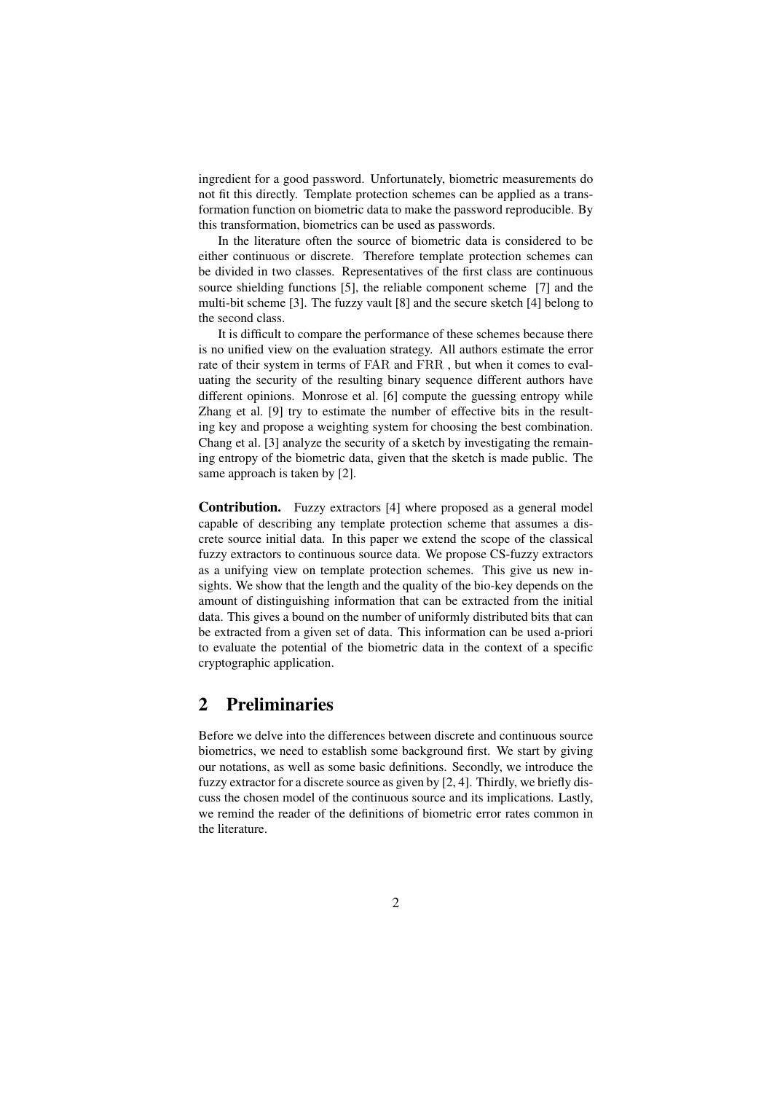ingredient for a good password. Unfortunately, biometric measurements do not fit this directly. Template protection schemes can be applied as a transformation function on biometric data to make the password reproducible. By this transformation, biometrics can be used as passwords.

In the literature often the source of biometric data is considered to be either continuous or discrete. Therefore template protection schemes can be divided in two classes. Representatives of the first class are continuous source shielding functions [5], the reliable component scheme [7] and the multi-bit scheme [3]. The fuzzy vault [8] and the secure sketch [4] belong to the second class.

It is difficult to compare the performance of these schemes because there is no unified view on the evaluation strategy. All authors estimate the error rate of their system in terms of FAR and FRR , but when it comes to evaluating the security of the resulting binary sequence different authors have different opinions. Monrose et al. [6] compute the guessing entropy while Zhang et al. [9] try to estimate the number of effective bits in the resulting key and propose a weighting system for choosing the best combination. Chang et al. [3] analyze the security of a sketch by investigating the remaining entropy of the biometric data, given that the sketch is made public. The same approach is taken by [2].

Contribution. Fuzzy extractors [4] where proposed as a general model capable of describing any template protection scheme that assumes a discrete source initial data. In this paper we extend the scope of the classical fuzzy extractors to continuous source data. We propose CS-fuzzy extractors as a unifying view on template protection schemes. This give us new insights. We show that the length and the quality of the bio-key depends on the amount of distinguishing information that can be extracted from the initial data. This gives a bound on the number of uniformly distributed bits that can be extracted from a given set of data. This information can be used a-priori to evaluate the potential of the biometric data in the context of a specific cryptographic application.

# 2 Preliminaries

Before we delve into the differences between discrete and continuous source biometrics, we need to establish some background first. We start by giving our notations, as well as some basic definitions. Secondly, we introduce the fuzzy extractor for a discrete source as given by [2, 4]. Thirdly, we briefly discuss the chosen model of the continuous source and its implications. Lastly, we remind the reader of the definitions of biometric error rates common in the literature.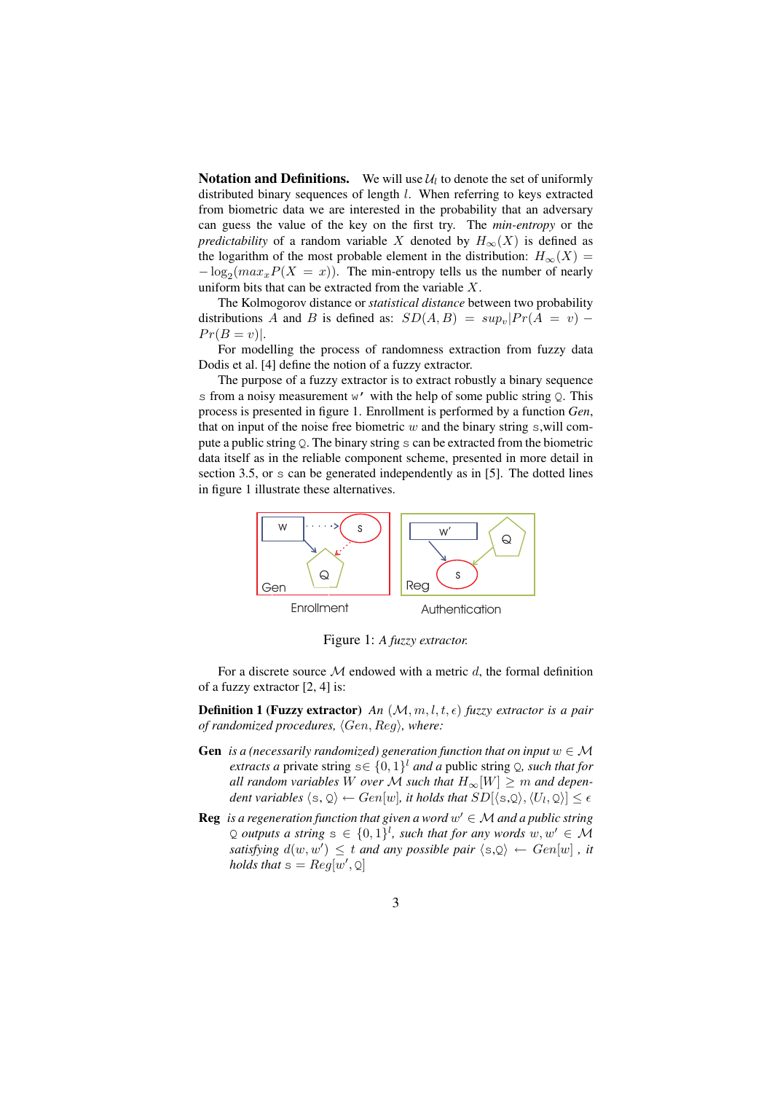**Notation and Definitions.** We will use  $\mathcal{U}_l$  to denote the set of uniformly distributed binary sequences of length l. When referring to keys extracted from biometric data we are interested in the probability that an adversary can guess the value of the key on the first try. The *min-entropy* or the *predictability* of a random variable X denoted by  $H_{\infty}(X)$  is defined as the logarithm of the most probable element in the distribution:  $H_{\infty}(X) =$  $-\log_2(max_x P(X = x))$ . The min-entropy tells us the number of nearly uniform bits that can be extracted from the variable X.

The Kolmogorov distance or *statistical distance* between two probability distributions A and B is defined as:  $SD(A, B) = sup_v|Pr(A = v)$  –  $Pr(B = v)|$ .

For modelling the process of randomness extraction from fuzzy data Dodis et al. [4] define the notion of a fuzzy extractor.

The purpose of a fuzzy extractor is to extract robustly a binary sequence s from a noisy measurement  $w'$  with the help of some public string  $Q$ . This process is presented in figure 1. Enrollment is performed by a function *Gen*, that on input of the noise free biometric  $w$  and the binary string  $s$ , will compute a public string Q. The binary string s can be extracted from the biometric data itself as in the reliable component scheme, presented in more detail in section 3.5, or s can be generated independently as in [5]. The dotted lines in figure 1 illustrate these alternatives.



Figure 1: *A fuzzy extractor.*

For a discrete source  $M$  endowed with a metric  $d$ , the formal definition of a fuzzy extractor [2, 4] is:

**Definition 1 (Fuzzy extractor)** *An*  $(M, m, l, t, \epsilon)$  *fuzzy extractor is a pair of randomized procedures,*  $\langle Gen, Reg \rangle$ *, where:* 

- **Gen** *is a (necessarily randomized) generation function that on input*  $w \in M$ *extracts a* private string  $s \in \{0, 1\}^l$  *and a* public string Q, *such that for all random variables* W *over* M such that  $H_{\infty}[W] \geq m$  and dependent variables  $\langle s , \mathbb Q \rangle \leftarrow Gen[w]$ , it holds that  $SD[\langle s , \mathbb Q \rangle, \langle U_l, \mathbb Q \rangle] \leq \epsilon$
- **Reg** is a regeneration function that given a word  $w' \in M$  and a public string Q *outputs* a string  $s \in \{0,1\}^l$ , such that for any words  $w, w' \in \mathcal{M}$ *satisfying*  $d(w, w') \leq t$  *and any possible pair*  $\langle s, \Omega \rangle \leftarrow Gen[w]$ , *it holds that*  $s = Reg[w', Q]$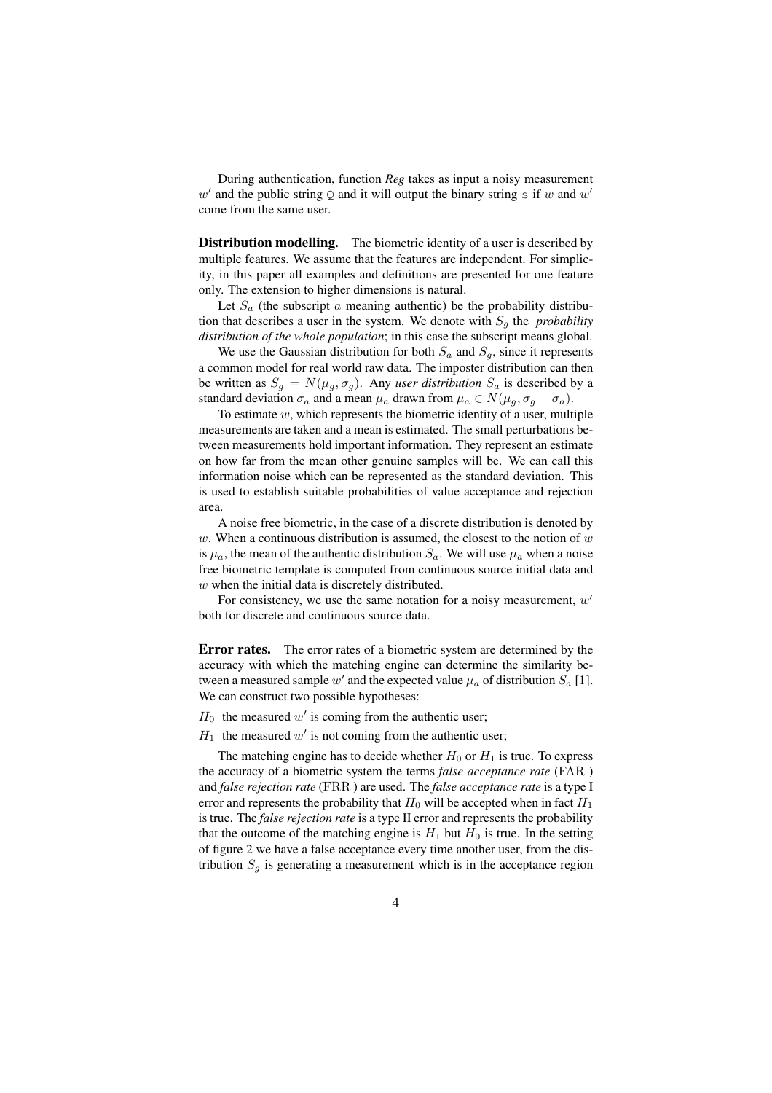During authentication, function *Reg* takes as input a noisy measurement w' and the public string Q and it will output the binary string s if w and w' come from the same user.

**Distribution modelling.** The biometric identity of a user is described by multiple features. We assume that the features are independent. For simplicity, in this paper all examples and definitions are presented for one feature only. The extension to higher dimensions is natural.

Let  $S_a$  (the subscript a meaning authentic) be the probability distribution that describes a user in the system. We denote with  $S<sub>q</sub>$  the *probability distribution of the whole population*; in this case the subscript means global.

We use the Gaussian distribution for both  $S_a$  and  $S_a$ , since it represents a common model for real world raw data. The imposter distribution can then be written as  $S_g = N(\mu_g, \sigma_g)$ . Any *user distribution*  $S_a$  is described by a standard deviation  $\sigma_a$  and a mean  $\mu_a$  drawn from  $\mu_a \in N(\mu_g, \sigma_g - \sigma_a)$ .

To estimate  $w$ , which represents the biometric identity of a user, multiple measurements are taken and a mean is estimated. The small perturbations between measurements hold important information. They represent an estimate on how far from the mean other genuine samples will be. We can call this information noise which can be represented as the standard deviation. This is used to establish suitable probabilities of value acceptance and rejection area.

A noise free biometric, in the case of a discrete distribution is denoted by w. When a continuous distribution is assumed, the closest to the notion of  $w$ is  $\mu_a$ , the mean of the authentic distribution  $S_a$ . We will use  $\mu_a$  when a noise free biometric template is computed from continuous source initial data and w when the initial data is discretely distributed.

For consistency, we use the same notation for a noisy measurement,  $w'$ both for discrete and continuous source data.

Error rates. The error rates of a biometric system are determined by the accuracy with which the matching engine can determine the similarity between a measured sample  $w'$  and the expected value  $\mu_a$  of distribution  $S_a$  [1]. We can construct two possible hypotheses:

 $H_0$  the measured w' is coming from the authentic user;

 $H_1$  the measured w' is not coming from the authentic user;

The matching engine has to decide whether  $H_0$  or  $H_1$  is true. To express the accuracy of a biometric system the terms *false acceptance rate* (FAR ) and *false rejection rate* (FRR ) are used. The *false acceptance rate* is a type I error and represents the probability that  $H_0$  will be accepted when in fact  $H_1$ is true. The *false rejection rate* is a type II error and represents the probability that the outcome of the matching engine is  $H_1$  but  $H_0$  is true. In the setting of figure 2 we have a false acceptance every time another user, from the distribution  $S_g$  is generating a measurement which is in the acceptance region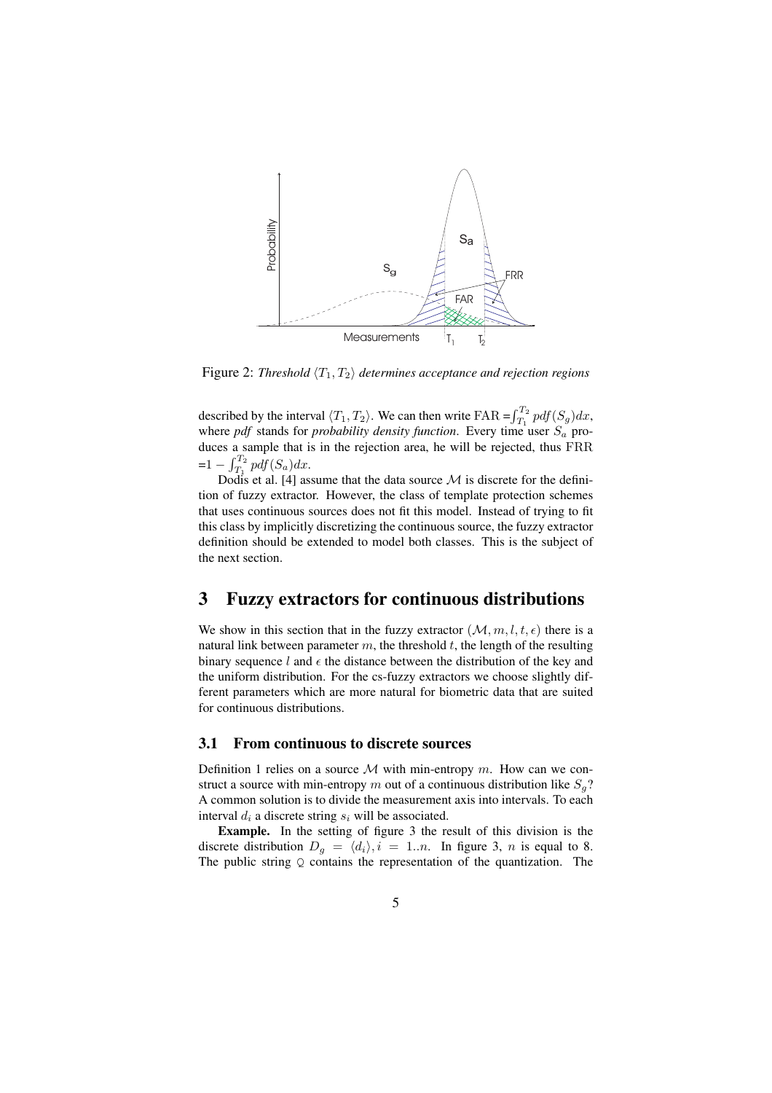

Figure 2: *Threshold*  $\langle T_1, T_2 \rangle$  *determines acceptance and rejection regions* 

described by the interval  $\langle T_1, T_2 \rangle$ . We can then write FAR =  $\int_{T_1}^{T_2}$  $T_1^{12}$  pdf $(S_g)dx$ , where *pdf* stands for *probability density function*. Every time user  $S_a$  produces a sample that is in the rejection area, he will be rejected, thus FRR  $=1 - \int_{T_1}^{T_2}$  $T_1^{12}$  pdf $(S_a)dx$ .

Dodis et al. [4] assume that the data source  $\mathcal M$  is discrete for the definition of fuzzy extractor. However, the class of template protection schemes that uses continuous sources does not fit this model. Instead of trying to fit this class by implicitly discretizing the continuous source, the fuzzy extractor definition should be extended to model both classes. This is the subject of the next section.

# 3 Fuzzy extractors for continuous distributions

We show in this section that in the fuzzy extractor  $(M, m, l, t, \epsilon)$  there is a natural link between parameter  $m$ , the threshold  $t$ , the length of the resulting binary sequence l and  $\epsilon$  the distance between the distribution of the key and the uniform distribution. For the cs-fuzzy extractors we choose slightly different parameters which are more natural for biometric data that are suited for continuous distributions.

## 3.1 From continuous to discrete sources

Definition 1 relies on a source  $M$  with min-entropy  $m$ . How can we construct a source with min-entropy m out of a continuous distribution like  $S_q$ ? A common solution is to divide the measurement axis into intervals. To each interval  $d_i$  a discrete string  $s_i$  will be associated.

Example. In the setting of figure 3 the result of this division is the discrete distribution  $D_q = \langle d_i \rangle, i = 1..n$ . In figure 3, n is equal to 8. The public string  $Q$  contains the representation of the quantization. The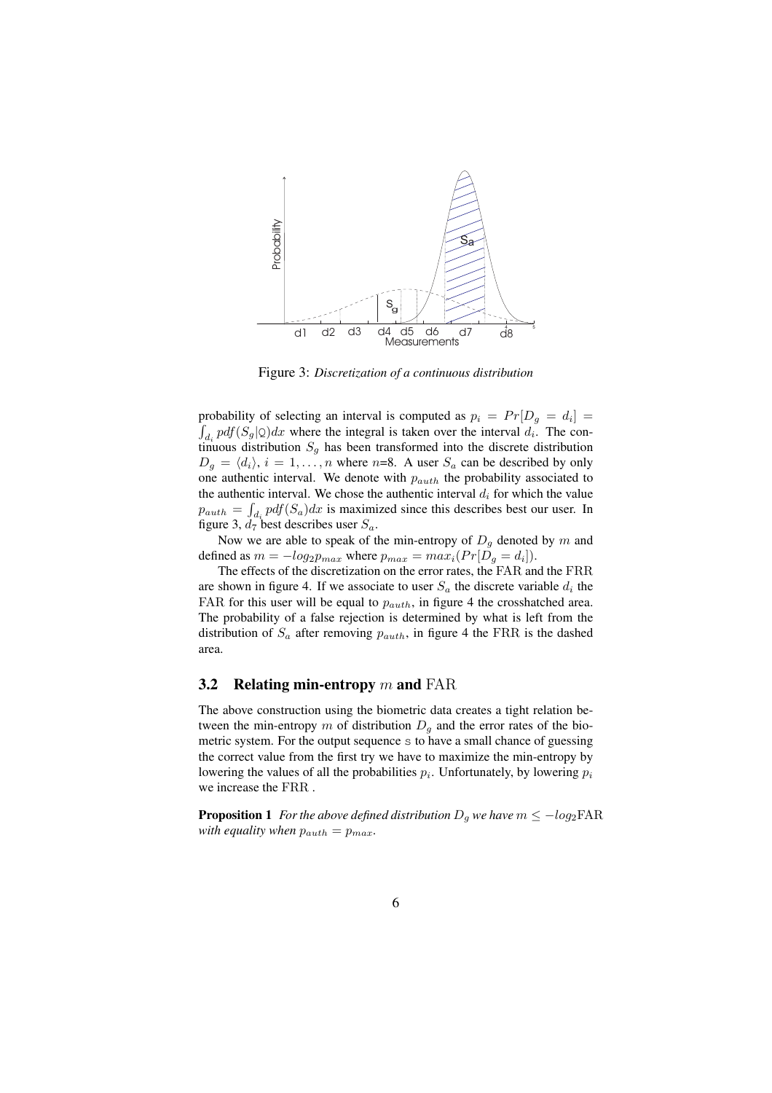

Figure 3: *Discretization of a continuous distribution*

probability of selecting an interval is computed as  $p_i = Pr[D_g = d_i] =$  $d_i$  pdf $(S_g | Q)dx$  where the integral is taken over the interval  $d_i$ . The continuous distribution  $S<sub>g</sub>$  has been transformed into the discrete distribution  $D_q = \langle d_i \rangle$ ,  $i = 1, ..., n$  where n=8. A user  $S_a$  can be described by only one authentic interval. We denote with  $p_{auth}$  the probability associated to the authentic interval. We chose the authentic interval  $d_i$  for which the value  $p_{auth} = \int_{d_i} pdf(S_a)dx$  is maximized since this describes best our user. In figure 3,  $d_7$  best describes user  $S_a$ .

Now we are able to speak of the min-entropy of  $D_q$  denoted by m and defined as  $m = -log_2 p_{max}$  where  $p_{max} = max_i (Pr[D_g = d_i])$ .

The effects of the discretization on the error rates, the FAR and the FRR are shown in figure 4. If we associate to user  $S_a$  the discrete variable  $d_i$  the FAR for this user will be equal to  $p_{auth}$ , in figure 4 the crosshatched area. The probability of a false rejection is determined by what is left from the distribution of  $S_a$  after removing  $p_{auth}$ , in figure 4 the FRR is the dashed area.

#### 3.2 Relating min-entropy  $m$  and FAR

The above construction using the biometric data creates a tight relation between the min-entropy m of distribution  $D_q$  and the error rates of the biometric system. For the output sequence s to have a small chance of guessing the correct value from the first try we have to maximize the min-entropy by lowering the values of all the probabilities  $p_i$ . Unfortunately, by lowering  $p_i$ we increase the FRR .

**Proposition 1** *For the above defined distribution*  $D<sub>q</sub>$ *we have*  $m \le -log_2\text{FAR}$ *with equality when*  $p_{auth} = p_{max}$ .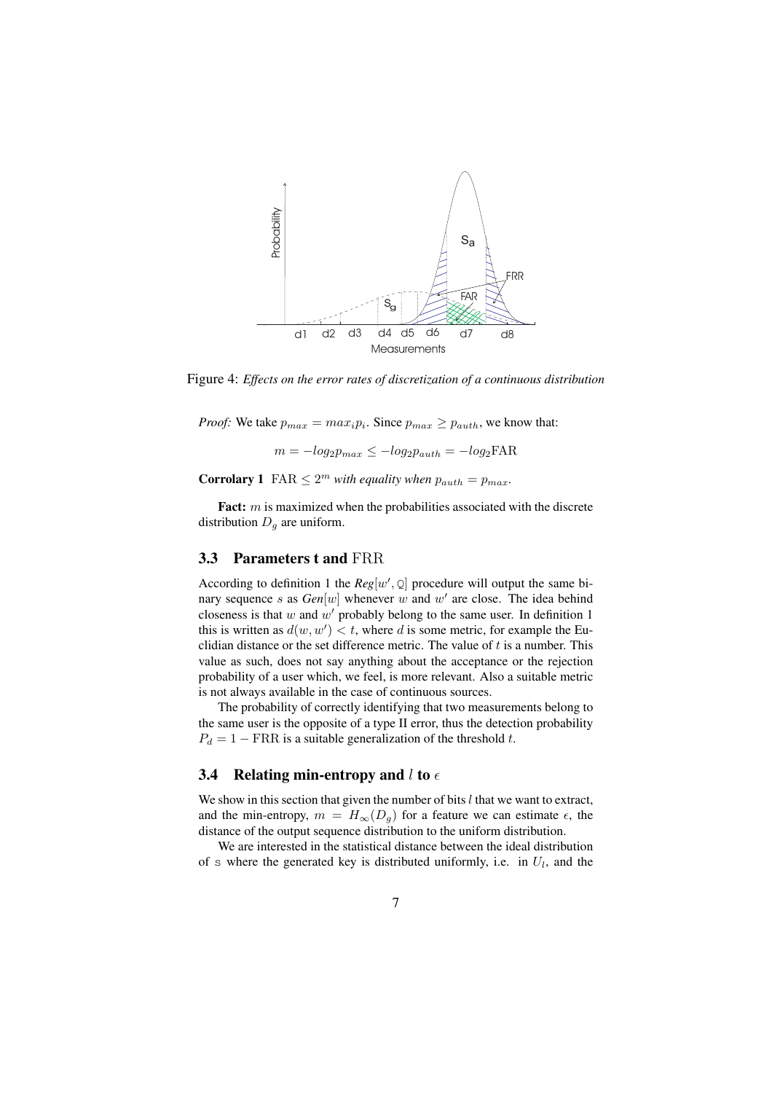

Figure 4: *Effects on the error rates of discretization of a continuous distribution*

*Proof:* We take  $p_{max} = max_i p_i$ . Since  $p_{max} \geq p_{auth}$ , we know that:

 $m = -log_2 p_{max} \leq -log_2 p_{auth} = -log_2$ FAR

**Corrolary 1** FAR  $\leq 2^m$  with equality when  $p_{auth} = p_{max}$ .

Fact: m is maximized when the probabilities associated with the discrete distribution  $D_q$  are uniform.

#### 3.3 Parameters t and FRR

According to definition 1 the  $Reg[w', Q]$  procedure will output the same binary sequence s as  $Gen[w]$  whenever w and w' are close. The idea behind closeness is that w and  $w'$  probably belong to the same user. In definition 1 this is written as  $d(w, w') < t$ , where d is some metric, for example the Euclidian distance or the set difference metric. The value of  $t$  is a number. This value as such, does not say anything about the acceptance or the rejection probability of a user which, we feel, is more relevant. Also a suitable metric is not always available in the case of continuous sources.

The probability of correctly identifying that two measurements belong to the same user is the opposite of a type II error, thus the detection probability  $P_d = 1 - \text{FRR}$  is a suitable generalization of the threshold t.

#### 3.4 Relating min-entropy and l to  $\epsilon$

We show in this section that given the number of bits  $l$  that we want to extract, and the min-entropy,  $m = H_{\infty}(D_q)$  for a feature we can estimate  $\epsilon$ , the distance of the output sequence distribution to the uniform distribution.

We are interested in the statistical distance between the ideal distribution of s where the generated key is distributed uniformly, i.e. in  $U_l$ , and the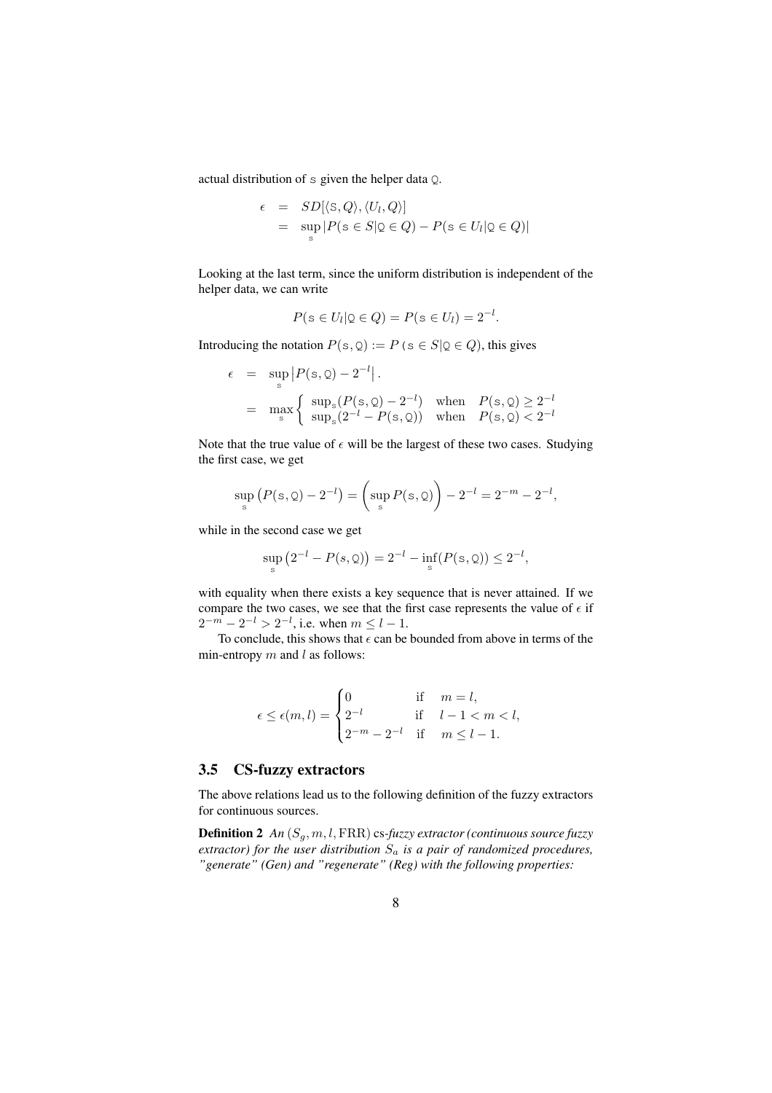actual distribution of s given the helper data Q.

$$
\epsilon = SD[\langle S, Q \rangle, \langle U_l, Q \rangle]
$$
  
= 
$$
\sup_{s} |P(s \in S | \mathcal{Q} \in Q) - P(s \in U_l | \mathcal{Q} \in Q)|
$$

Looking at the last term, since the uniform distribution is independent of the helper data, we can write

$$
P(s \in U_l | Q \in Q) = P(s \in U_l) = 2^{-l}.
$$

Introducing the notation  $P(s, Q) := P(s \in S | Q \in Q)$ , this gives

$$
\epsilon = \sup_{s} |P(s, Q) - 2^{-l}|.
$$
  
=  $\max_{s} \begin{cases} \sup_{s} (P(s, Q) - 2^{-l}) & \text{when } P(s, Q) \ge 2^{-l} \\ \sup_{s} (2^{-l} - P(s, Q)) & \text{when } P(s, Q) < 2^{-l} \end{cases}$ 

Note that the true value of  $\epsilon$  will be the largest of these two cases. Studying the first case, we get

$$
\sup_{s} (P(s, Q) - 2^{-l}) = \left( \sup_{s} P(s, Q) \right) - 2^{-l} = 2^{-m} - 2^{-l},
$$

while in the second case we get

$$
\sup_{s} (2^{-l} - P(s, 0)) = 2^{-l} - \inf_{s} (P(s, 0)) \le 2^{-l},
$$

with equality when there exists a key sequence that is never attained. If we compare the two cases, we see that the first case represents the value of  $\epsilon$  if  $2^{-m} - 2^{-l} > 2^{-l}$ , i.e. when  $m \le l - 1$ .

To conclude, this shows that  $\epsilon$  can be bounded from above in terms of the min-entropy  $m$  and  $l$  as follows:

$$
\epsilon \le \epsilon(m, l) = \begin{cases} 0 & \text{if } m = l, \\ 2^{-l} & \text{if } l - 1 < m < l, \\ 2^{-m} - 2^{-l} & \text{if } m \le l - 1. \end{cases}
$$

## 3.5 CS-fuzzy extractors

The above relations lead us to the following definition of the fuzzy extractors for continuous sources.

**Definition 2** An  $(S_g, m, l, \text{FRR})$  cs-fuzzy extractor (continuous source fuzzy) *extractor) for the user distribution* S<sup>a</sup> *is a pair of randomized procedures, "generate" (Gen) and "regenerate" (Reg) with the following properties:*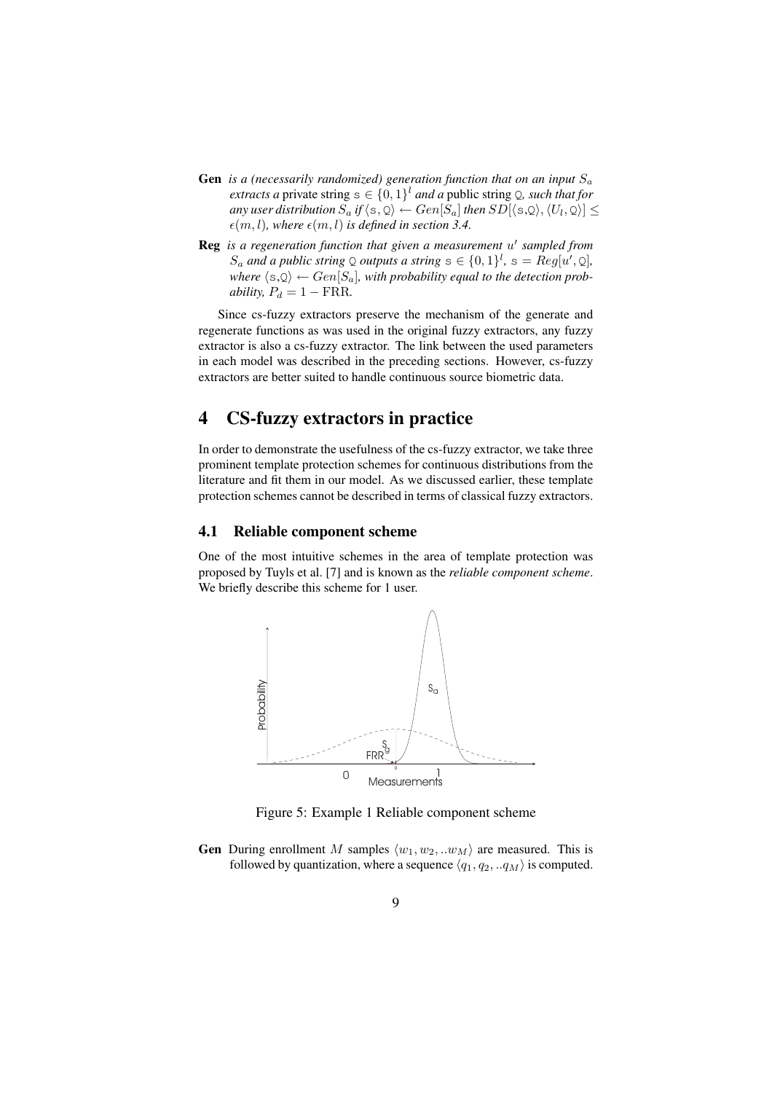- **Gen** *is a (necessarily randomized) generation function that on an input*  $S_a$ *extracts a* private string  $s \in \{0,1\}^l$  *and a* public string Q, *such that for* any user distribution  $S_a$  if  $\langle \mathsf{s}, \mathsf{Q}\rangle \leftarrow Gen[S_a]$  then  $SD[\langle \mathsf{s}, \mathsf{Q}\rangle, \langle U_l, \mathsf{Q}\rangle]\leq 1$  $\epsilon(m, l)$ *, where*  $\epsilon(m, l)$  *is defined in section 3.4.*
- **Reg** is a regeneration function that given a measurement u' sampled from  $S_a$  and a public string  $\mathcal Q$  outputs a string  $s \in \{0,1\}^l$ ,  $s = Reg[u',\mathcal Q]$ , *where*  $\langle s, Q \rangle \leftarrow Gen[S_a]$ , with probability equal to the detection prob*ability,*  $P_d = 1 - \text{FRR}$ .

Since cs-fuzzy extractors preserve the mechanism of the generate and regenerate functions as was used in the original fuzzy extractors, any fuzzy extractor is also a cs-fuzzy extractor. The link between the used parameters in each model was described in the preceding sections. However, cs-fuzzy extractors are better suited to handle continuous source biometric data.

# 4 CS-fuzzy extractors in practice

In order to demonstrate the usefulness of the cs-fuzzy extractor, we take three prominent template protection schemes for continuous distributions from the literature and fit them in our model. As we discussed earlier, these template protection schemes cannot be described in terms of classical fuzzy extractors.

## 4.1 Reliable component scheme

One of the most intuitive schemes in the area of template protection was proposed by Tuyls et al. [7] and is known as the *reliable component scheme*. We briefly describe this scheme for 1 user.



Figure 5: Example 1 Reliable component scheme

**Gen** During enrollment M samples  $\langle w_1, w_2, ... w_M \rangle$  are measured. This is followed by quantization, where a sequence  $\langle q_1, q_2, . . q_M \rangle$  is computed.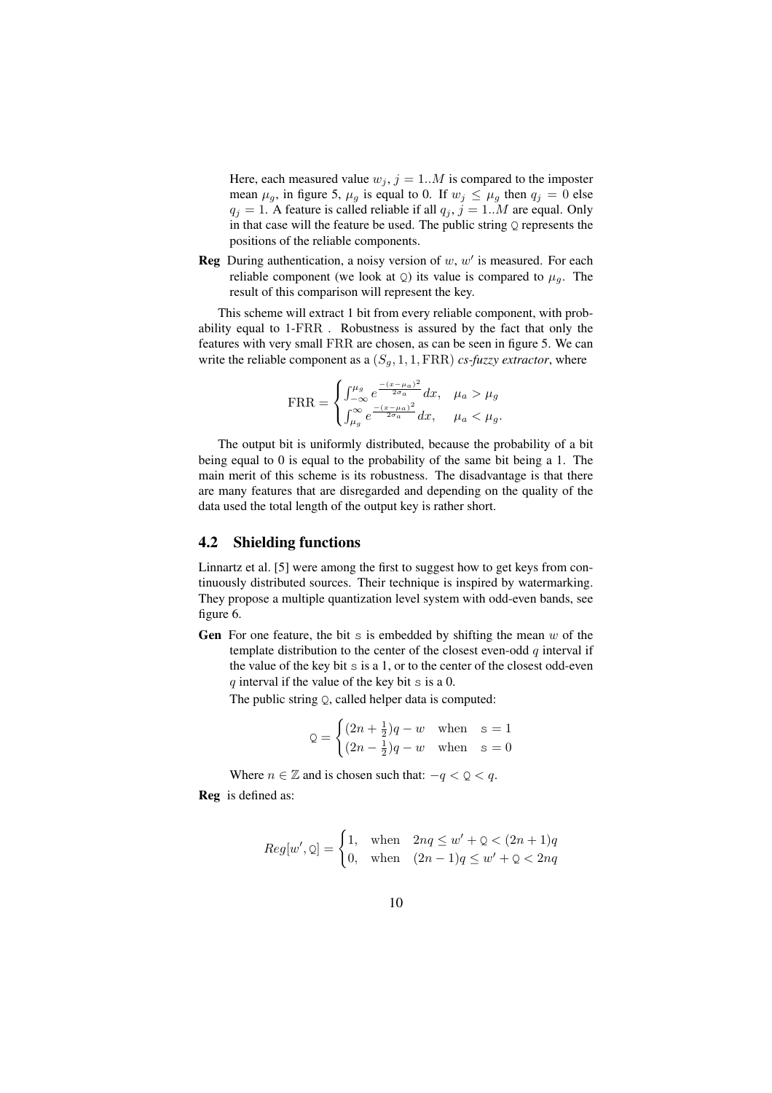Here, each measured value  $w_j$ ,  $j = 1..M$  is compared to the imposter mean  $\mu_g$ , in figure 5,  $\mu_g$  is equal to 0. If  $w_j \leq \mu_g$  then  $q_j = 0$  else  $q_j = 1$ . A feature is called reliable if all  $q_j$ ,  $j = 1...M$  are equal. Only in that case will the feature be used. The public string  $Q$  represents the positions of the reliable components.

**Reg** During authentication, a noisy version of  $w$ ,  $w'$  is measured. For each reliable component (we look at  $Q$ ) its value is compared to  $\mu_q$ . The result of this comparison will represent the key.

This scheme will extract 1 bit from every reliable component, with probability equal to 1-FRR . Robustness is assured by the fact that only the features with very small FRR are chosen, as can be seen in figure 5. We can write the reliable component as a  $(S_q, 1, 1, \text{FRR})$  *cs-fuzzy extractor*, where

$$
\text{FRR} = \begin{cases} \int_{-\infty}^{\mu_g} e^{\frac{-(x-\mu_a)^2}{2\sigma_a}} dx, & \mu_a > \mu_g \\ \int_{\mu_g}^{\infty} e^{\frac{-(x-\mu_a)^2}{2\sigma_a}} dx, & \mu_a < \mu_g. \end{cases}
$$

The output bit is uniformly distributed, because the probability of a bit being equal to 0 is equal to the probability of the same bit being a 1. The main merit of this scheme is its robustness. The disadvantage is that there are many features that are disregarded and depending on the quality of the data used the total length of the output key is rather short.

#### 4.2 Shielding functions

Linnartz et al. [5] were among the first to suggest how to get keys from continuously distributed sources. Their technique is inspired by watermarking. They propose a multiple quantization level system with odd-even bands, see figure 6.

Gen For one feature, the bit s is embedded by shifting the mean  $w$  of the template distribution to the center of the closest even-odd  $q$  interval if the value of the key bit s is a 1, or to the center of the closest odd-even  $q$  interval if the value of the key bit  $\leq$  is a 0.

The public string Q, called helper data is computed:

$$
Q = \begin{cases} (2n + \frac{1}{2})q - w & \text{when } s = 1\\ (2n - \frac{1}{2})q - w & \text{when } s = 0 \end{cases}
$$

Where  $n \in \mathbb{Z}$  and is chosen such that:  $-q < Q < q$ .

Reg is defined as:

$$
Reg[w', \mathbf{Q}] = \begin{cases} 1, & \text{when} \quad 2nq \le w' + \mathbf{Q} < (2n+1)q \\ 0, & \text{when} \quad (2n-1)q \le w' + \mathbf{Q} < 2nq \end{cases}
$$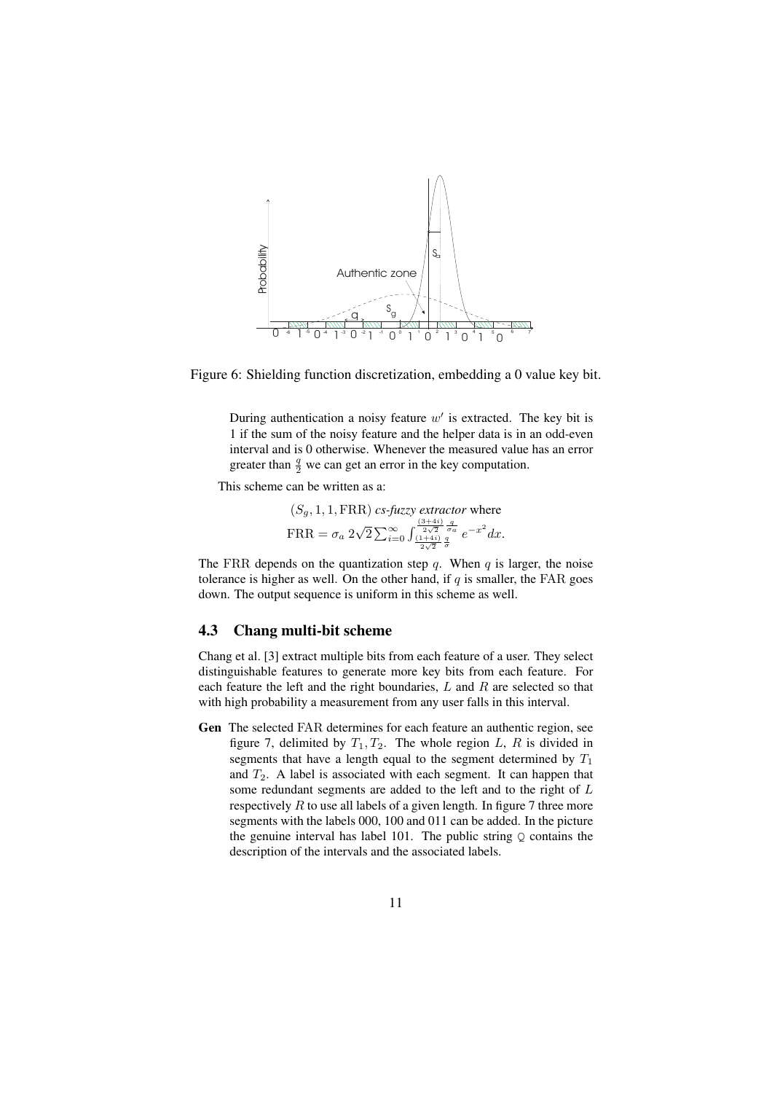

Figure 6: Shielding function discretization, embedding a 0 value key bit.

During authentication a noisy feature  $w'$  is extracted. The key bit is 1 if the sum of the noisy feature and the helper data is in an odd-even interval and is 0 otherwise. Whenever the measured value has an error greater than  $\frac{q}{2}$  we can get an error in the key computation.

This scheme can be written as a:

$$
(S_g, 1, 1, \text{FRR})
$$
 *cs-fuzzy extractor* where  
  $\text{FRR} = \sigma_a 2\sqrt{2} \sum_{i=0}^{\infty} \int_{\frac{(1+4i)}{2\sqrt{2}} \frac{q}{\sigma_a}}^{\frac{(3+4i)}{2\sqrt{2}} \frac{q}{\sigma_a}} e^{-x^2} dx.$ 

The FRR depends on the quantization step q. When q is larger, the noise tolerance is higher as well. On the other hand, if  $q$  is smaller, the FAR goes down. The output sequence is uniform in this scheme as well.

### 4.3 Chang multi-bit scheme

Chang et al. [3] extract multiple bits from each feature of a user. They select distinguishable features to generate more key bits from each feature. For each feature the left and the right boundaries,  $L$  and  $R$  are selected so that with high probability a measurement from any user falls in this interval.

Gen The selected FAR determines for each feature an authentic region, see figure 7, delimited by  $T_1, T_2$ . The whole region L, R is divided in segments that have a length equal to the segment determined by  $T_1$ and  $T_2$ . A label is associated with each segment. It can happen that some redundant segments are added to the left and to the right of L respectively  $R$  to use all labels of a given length. In figure  $7$  three more segments with the labels 000, 100 and 011 can be added. In the picture the genuine interval has label 101. The public string  $Q$  contains the description of the intervals and the associated labels.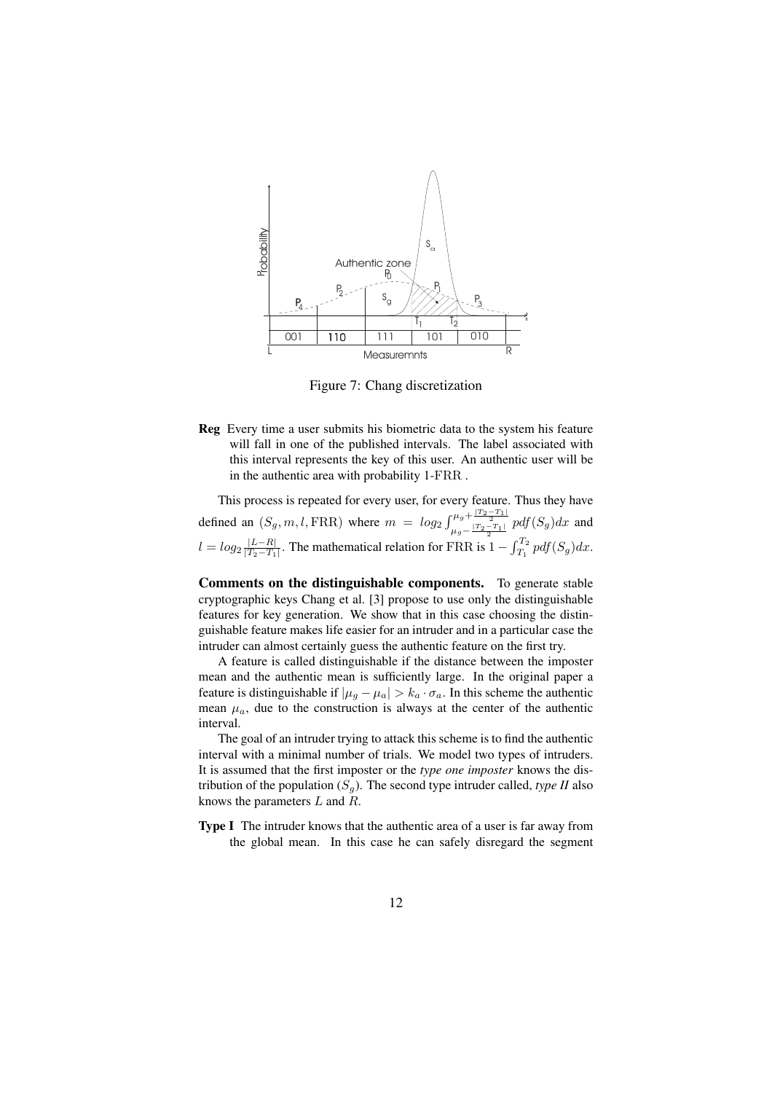

Figure 7: Chang discretization

Reg Every time a user submits his biometric data to the system his feature will fall in one of the published intervals. The label associated with this interval represents the key of this user. An authentic user will be in the authentic area with probability 1-FRR .

This process is repeated for every user, for every feature. Thus they have defined an  $(S_g, m, l, \text{FRR})$  where  $m = log_2 \int_{\mu_g - \frac{|T_2 - T_1|}{2}}^{\mu_g + \frac{|T_2 - T_1|}{2}} p df(S_g) dx$  and  $l = log_2 \frac{|L-R|}{|T_2-T_1|}$  $\frac{|L-R|}{|T_2-T_1|}$ . The mathematical relation for FRR is  $1 - \int_{T_1}^{T_2}$  $T_1^{12}$  pdf $(S_g)dx$ .

Comments on the distinguishable components. To generate stable cryptographic keys Chang et al. [3] propose to use only the distinguishable features for key generation. We show that in this case choosing the distinguishable feature makes life easier for an intruder and in a particular case the intruder can almost certainly guess the authentic feature on the first try.

A feature is called distinguishable if the distance between the imposter mean and the authentic mean is sufficiently large. In the original paper a feature is distinguishable if  $|\mu_g - \mu_a| > k_a \cdot \sigma_a$ . In this scheme the authentic mean  $\mu_a$ , due to the construction is always at the center of the authentic interval.

The goal of an intruder trying to attack this scheme is to find the authentic interval with a minimal number of trials. We model two types of intruders. It is assumed that the first imposter or the *type one imposter* knows the distribution of the population  $(S_q)$ . The second type intruder called, *type II* also knows the parameters L and R.

Type I The intruder knows that the authentic area of a user is far away from the global mean. In this case he can safely disregard the segment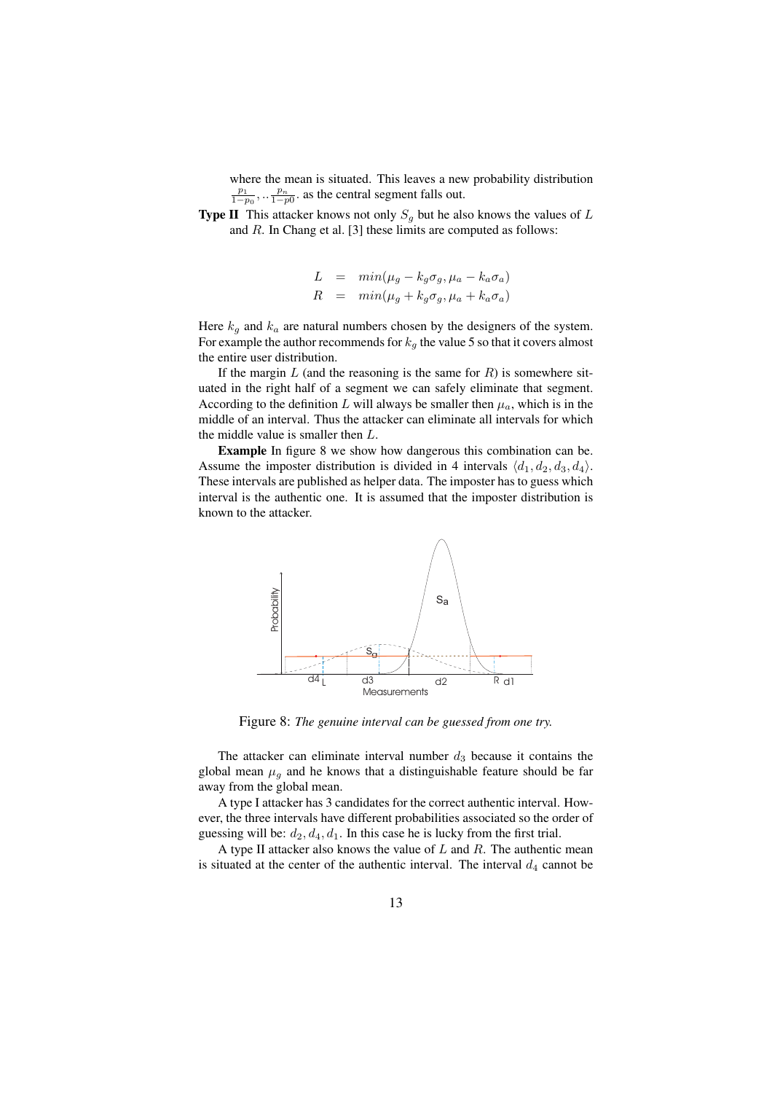where the mean is situated. This leaves a new probability distribution  $\frac{p_1}{1-p_0}, \ldots \frac{p_n}{1-p_0}$  as the central segment falls out.

**Type II** This attacker knows not only  $S<sub>g</sub>$  but he also knows the values of L and R. In Chang et al. [3] these limits are computed as follows:

$$
L = min(\mu_g - k_g \sigma_g, \mu_a - k_a \sigma_a)
$$
  

$$
R = min(\mu_g + k_g \sigma_g, \mu_a + k_a \sigma_a)
$$

Here  $k_g$  and  $k_a$  are natural numbers chosen by the designers of the system. For example the author recommends for  $k_g$  the value 5 so that it covers almost the entire user distribution.

If the margin  $L$  (and the reasoning is the same for  $R$ ) is somewhere situated in the right half of a segment we can safely eliminate that segment. According to the definition L will always be smaller then  $\mu_a$ , which is in the middle of an interval. Thus the attacker can eliminate all intervals for which the middle value is smaller then L.

Example In figure 8 we show how dangerous this combination can be. Assume the imposter distribution is divided in 4 intervals  $\langle d_1, d_2, d_3, d_4 \rangle$ . These intervals are published as helper data. The imposter has to guess which interval is the authentic one. It is assumed that the imposter distribution is known to the attacker.



Figure 8: *The genuine interval can be guessed from one try.*

The attacker can eliminate interval number  $d_3$  because it contains the global mean  $\mu_q$  and he knows that a distinguishable feature should be far away from the global mean.

A type I attacker has 3 candidates for the correct authentic interval. However, the three intervals have different probabilities associated so the order of guessing will be:  $d_2$ ,  $d_4$ ,  $d_1$ . In this case he is lucky from the first trial.

A type II attacker also knows the value of  $L$  and  $R$ . The authentic mean is situated at the center of the authentic interval. The interval  $d_4$  cannot be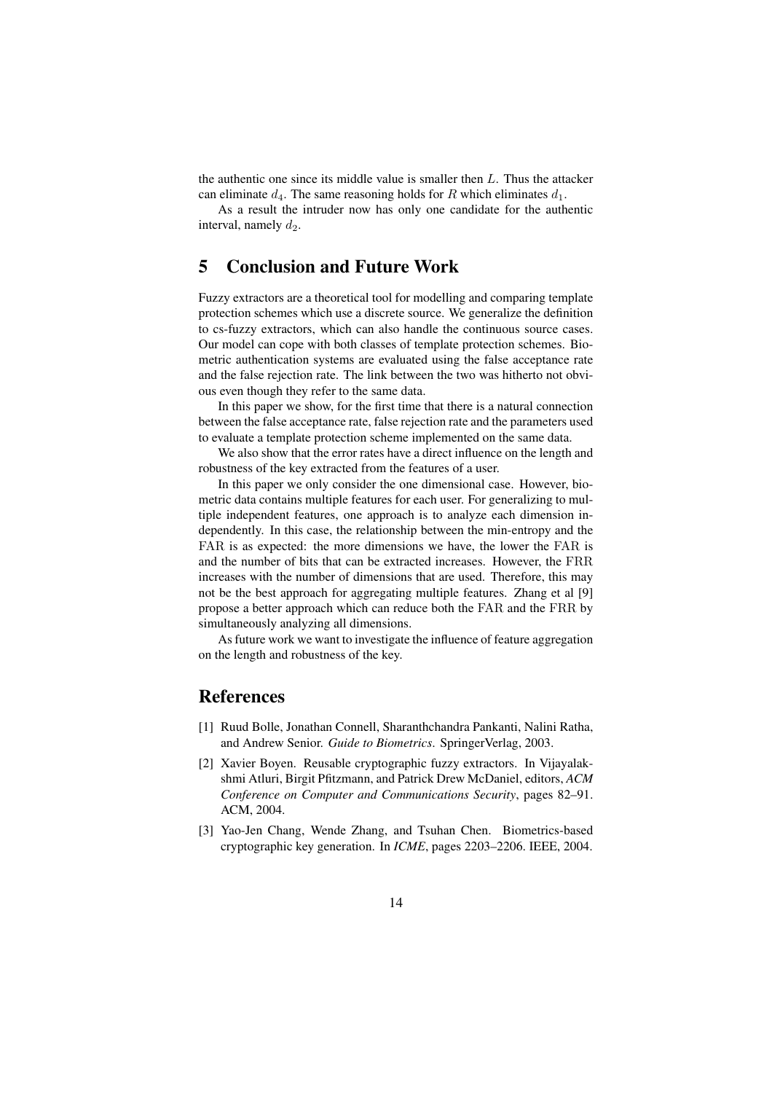the authentic one since its middle value is smaller then  $L$ . Thus the attacker can eliminate  $d_4$ . The same reasoning holds for R which eliminates  $d_1$ .

As a result the intruder now has only one candidate for the authentic interval, namely  $d_2$ .

# 5 Conclusion and Future Work

Fuzzy extractors are a theoretical tool for modelling and comparing template protection schemes which use a discrete source. We generalize the definition to cs-fuzzy extractors, which can also handle the continuous source cases. Our model can cope with both classes of template protection schemes. Biometric authentication systems are evaluated using the false acceptance rate and the false rejection rate. The link between the two was hitherto not obvious even though they refer to the same data.

In this paper we show, for the first time that there is a natural connection between the false acceptance rate, false rejection rate and the parameters used to evaluate a template protection scheme implemented on the same data.

We also show that the error rates have a direct influence on the length and robustness of the key extracted from the features of a user.

In this paper we only consider the one dimensional case. However, biometric data contains multiple features for each user. For generalizing to multiple independent features, one approach is to analyze each dimension independently. In this case, the relationship between the min-entropy and the FAR is as expected: the more dimensions we have, the lower the FAR is and the number of bits that can be extracted increases. However, the FRR increases with the number of dimensions that are used. Therefore, this may not be the best approach for aggregating multiple features. Zhang et al [9] propose a better approach which can reduce both the FAR and the FRR by simultaneously analyzing all dimensions.

As future work we want to investigate the influence of feature aggregation on the length and robustness of the key.

# References

- [1] Ruud Bolle, Jonathan Connell, Sharanthchandra Pankanti, Nalini Ratha, and Andrew Senior. *Guide to Biometrics*. SpringerVerlag, 2003.
- [2] Xavier Boyen. Reusable cryptographic fuzzy extractors. In Vijayalakshmi Atluri, Birgit Pfitzmann, and Patrick Drew McDaniel, editors, *ACM Conference on Computer and Communications Security*, pages 82–91. ACM, 2004.
- [3] Yao-Jen Chang, Wende Zhang, and Tsuhan Chen. Biometrics-based cryptographic key generation. In *ICME*, pages 2203–2206. IEEE, 2004.